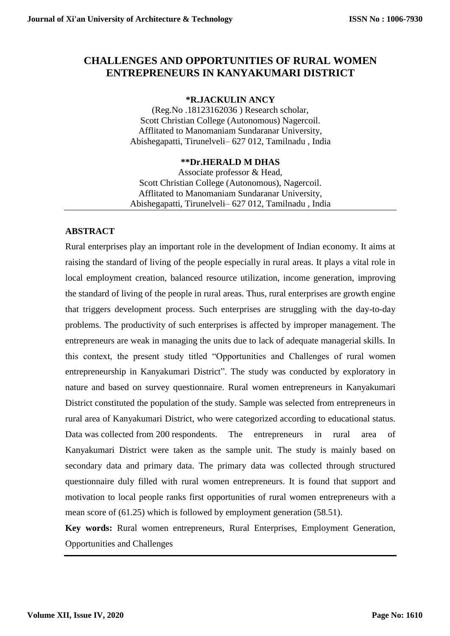## **CHALLENGES AND OPPORTUNITIES OF RURAL WOMEN ENTREPRENEURS IN KANYAKUMARI DISTRICT**

## **\*R.JACKULIN ANCY**

(Reg.No .18123162036 ) Research scholar, Scott Christian College (Autonomous) Nagercoil. Afflitated to Manomaniam Sundaranar University, Abishegapatti, Tirunelveli– 627 012, Tamilnadu , India

### **\*\*Dr.HERALD M DHAS**

Associate professor & Head, Scott Christian College (Autonomous), Nagercoil. Afflitated to Manomaniam Sundaranar University, Abishegapatti, Tirunelveli– 627 012, Tamilnadu , India

### **ABSTRACT**

Rural enterprises play an important role in the development of Indian economy. It aims at raising the standard of living of the people especially in rural areas. It plays a vital role in local employment creation, balanced resource utilization, income generation, improving the standard of living of the people in rural areas. Thus, rural enterprises are growth engine that triggers development process. Such enterprises are struggling with the day-to-day problems. The productivity of such enterprises is affected by improper management. The entrepreneurs are weak in managing the units due to lack of adequate managerial skills. In this context, the present study titled "Opportunities and Challenges of rural women entrepreneurship in Kanyakumari District". The study was conducted by exploratory in nature and based on survey questionnaire. Rural women entrepreneurs in Kanyakumari District constituted the population of the study. Sample was selected from entrepreneurs in rural area of Kanyakumari District, who were categorized according to educational status. Data was collected from 200 respondents. The entrepreneurs in rural area of Kanyakumari District were taken as the sample unit. The study is mainly based on secondary data and primary data. The primary data was collected through structured questionnaire duly filled with rural women entrepreneurs. It is found that support and motivation to local people ranks first opportunities of rural women entrepreneurs with a mean score of (61.25) which is followed by employment generation (58.51).

**Key words:** Rural women entrepreneurs, Rural Enterprises, Employment Generation, Opportunities and Challenges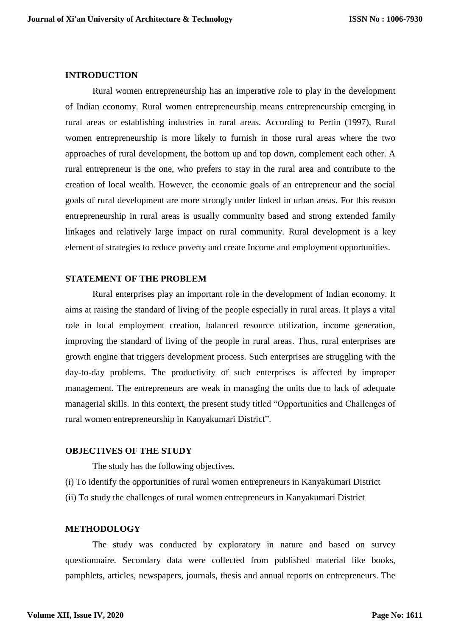#### **INTRODUCTION**

Rural women entrepreneurship has an imperative role to play in the development of Indian economy. Rural women entrepreneurship means entrepreneurship emerging in rural areas or establishing industries in rural areas. According to Pertin (1997), Rural women entrepreneurship is more likely to furnish in those rural areas where the two approaches of rural development, the bottom up and top down, complement each other. A rural entrepreneur is the one, who prefers to stay in the rural area and contribute to the creation of local wealth. However, the economic goals of an entrepreneur and the social goals of rural development are more strongly under linked in urban areas. For this reason entrepreneurship in rural areas is usually community based and strong extended family linkages and relatively large impact on rural community. Rural development is a key element of strategies to reduce poverty and create Income and employment opportunities.

### **STATEMENT OF THE PROBLEM**

Rural enterprises play an important role in the development of Indian economy. It aims at raising the standard of living of the people especially in rural areas. It plays a vital role in local employment creation, balanced resource utilization, income generation, improving the standard of living of the people in rural areas. Thus, rural enterprises are growth engine that triggers development process. Such enterprises are struggling with the day-to-day problems. The productivity of such enterprises is affected by improper management. The entrepreneurs are weak in managing the units due to lack of adequate managerial skills. In this context, the present study titled "Opportunities and Challenges of rural women entrepreneurship in Kanyakumari District".

### **OBJECTIVES OF THE STUDY**

The study has the following objectives.

(i) To identify the opportunities of rural women entrepreneurs in Kanyakumari District (ii) To study the challenges of rural women entrepreneurs in Kanyakumari District

### **METHODOLOGY**

The study was conducted by exploratory in nature and based on survey questionnaire. Secondary data were collected from published material like books, pamphlets, articles, newspapers, journals, thesis and annual reports on entrepreneurs. The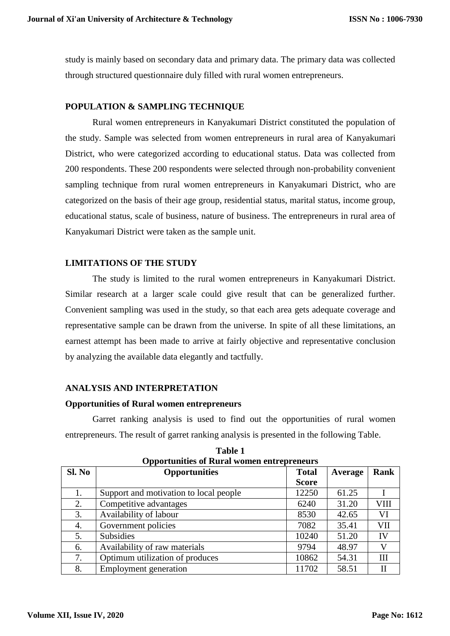study is mainly based on secondary data and primary data. The primary data was collected through structured questionnaire duly filled with rural women entrepreneurs.

## **POPULATION & SAMPLING TECHNIQUE**

Rural women entrepreneurs in Kanyakumari District constituted the population of the study. Sample was selected from women entrepreneurs in rural area of Kanyakumari District, who were categorized according to educational status. Data was collected from 200 respondents. These 200 respondents were selected through non-probability convenient sampling technique from rural women entrepreneurs in Kanyakumari District, who are categorized on the basis of their age group, residential status, marital status, income group, educational status, scale of business, nature of business. The entrepreneurs in rural area of Kanyakumari District were taken as the sample unit.

## **LIMITATIONS OF THE STUDY**

The study is limited to the rural women entrepreneurs in Kanyakumari District. Similar research at a larger scale could give result that can be generalized further. Convenient sampling was used in the study, so that each area gets adequate coverage and representative sample can be drawn from the universe. In spite of all these limitations, an earnest attempt has been made to arrive at fairly objective and representative conclusion by analyzing the available data elegantly and tactfully.

### **ANALYSIS AND INTERPRETATION**

### **Opportunities of Rural women entrepreneurs**

Garret ranking analysis is used to find out the opportunities of rural women entrepreneurs. The result of garret ranking analysis is presented in the following Table.

| SI. No | <b>Opportunities</b>                   | <b>Total</b> | Average | Rank        |
|--------|----------------------------------------|--------------|---------|-------------|
|        |                                        | <b>Score</b> |         |             |
|        | Support and motivation to local people | 12250        | 61.25   |             |
| 2.     | Competitive advantages                 | 6240         | 31.20   | <b>VIII</b> |
| 3.     | Availability of labour                 | 8530         | 42.65   | VI          |
| 4.     | Government policies                    | 7082         | 35.41   | <b>VII</b>  |
| 5.     | <b>Subsidies</b>                       | 10240        | 51.20   | IV          |
| 6.     | Availability of raw materials          | 9794         | 48.97   |             |
| 7.     | Optimum utilization of produces        | 10862        | 54.31   | III         |
| 8.     | Employment generation                  | 11702        | 58.51   | Н           |

**Table 1 Opportunities of Rural women entrepreneurs**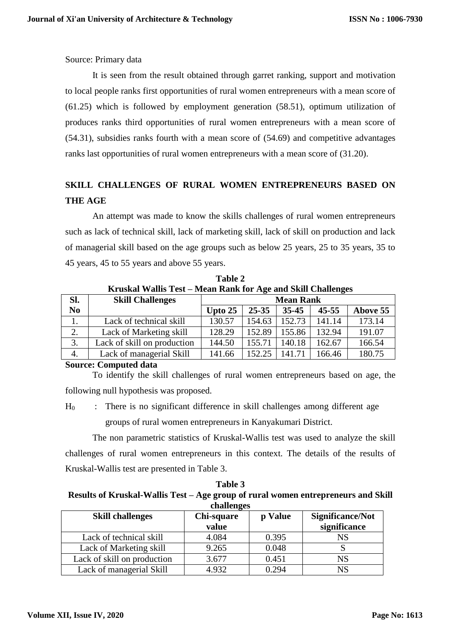Source: Primary data

It is seen from the result obtained through garret ranking, support and motivation to local people ranks first opportunities of rural women entrepreneurs with a mean score of (61.25) which is followed by employment generation (58.51), optimum utilization of produces ranks third opportunities of rural women entrepreneurs with a mean score of (54.31), subsidies ranks fourth with a mean score of (54.69) and competitive advantages ranks last opportunities of rural women entrepreneurs with a mean score of (31.20).

## **SKILL CHALLENGES OF RURAL WOMEN ENTREPRENEURS BASED ON THE AGE**

An attempt was made to know the skills challenges of rural women entrepreneurs such as lack of technical skill, lack of marketing skill, lack of skill on production and lack of managerial skill based on the age groups such as below 25 years, 25 to 35 years, 35 to 45 years, 45 to 55 years and above 55 years.

| Kruskal Wallis Test – Mean Rank for Age and Skill Challenges |                             |           |                  |           |           |          |  |  |
|--------------------------------------------------------------|-----------------------------|-----------|------------------|-----------|-----------|----------|--|--|
| Sl.                                                          | <b>Skill Challenges</b>     |           | <b>Mean Rank</b> |           |           |          |  |  |
| N <sub>0</sub>                                               |                             | Upto $25$ | $25 - 35$        | $35 - 45$ | $45 - 55$ | Above 55 |  |  |
|                                                              | Lack of technical skill     | 130.57    | 154.63           | 152.73    | 141.14    | 173.14   |  |  |
| 2.                                                           | Lack of Marketing skill     | 128.29    | 152.89           | 155.86    | 132.94    | 191.07   |  |  |
| 3.                                                           | Lack of skill on production | 144.50    | 155.71           | 140.18    | 162.67    | 166.54   |  |  |
| 4.                                                           | Lack of managerial Skill    | 141.66    | 152.25           | 141.71    | 166.46    | 180.75   |  |  |

**Table 2**

**Source: Computed data**

To identify the skill challenges of rural women entrepreneurs based on age, the following null hypothesis was proposed.

 $H<sub>0</sub>$  : There is no significant difference in skill challenges among different age groups of rural women entrepreneurs in Kanyakumari District.

The non parametric statistics of Kruskal-Wallis test was used to analyze the skill challenges of rural women entrepreneurs in this context. The details of the results of Kruskal-Wallis test are presented in Table 3.

| Table 3                                                                           |
|-----------------------------------------------------------------------------------|
| Results of Kruskal-Wallis Test – Age group of rural women entrepreneurs and Skill |
| challenges                                                                        |

| <b>Skill challenges</b>     | Chi-square<br>value | p Value | <b>Significance/Not</b><br>significance |
|-----------------------------|---------------------|---------|-----------------------------------------|
| Lack of technical skill     | 4.084               | 0.395   | NS                                      |
| Lack of Marketing skill     | 9.265               | 0.048   |                                         |
| Lack of skill on production | 3.677               | 0.451   | NS                                      |
| Lack of managerial Skill    | 4.932               | 0.294   | NS                                      |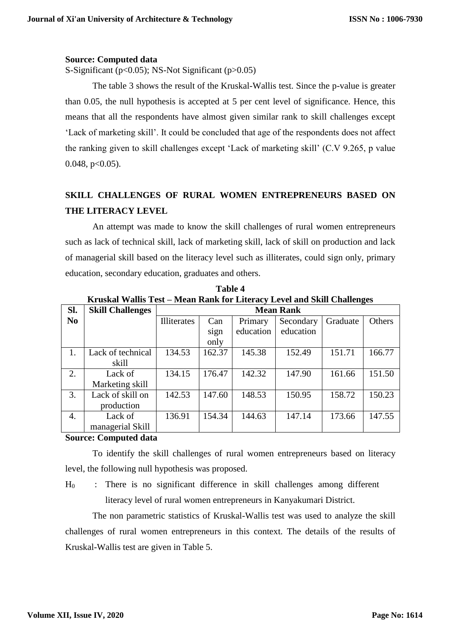### **Source: Computed data**

S-Significant (p<0.05); NS-Not Significant (p>0.05)

The table 3 shows the result of the Kruskal-Wallis test. Since the p-value is greater than 0.05, the null hypothesis is accepted at 5 per cent level of significance. Hence, this means that all the respondents have almost given similar rank to skill challenges except 'Lack of marketing skill'. It could be concluded that age of the respondents does not affect the ranking given to skill challenges except 'Lack of marketing skill' (C.V 9.265, p value  $0.048$ ,  $p<0.05$ ).

## **SKILL CHALLENGES OF RURAL WOMEN ENTREPRENEURS BASED ON THE LITERACY LEVEL**

An attempt was made to know the skill challenges of rural women entrepreneurs such as lack of technical skill, lack of marketing skill, lack of skill on production and lack of managerial skill based on the literacy level such as illiterates, could sign only, primary education, secondary education, graduates and others.

| Sl.            | <b>Skill Challenges</b> | <b>Mean Rank</b>   |        |           |           |          |        |
|----------------|-------------------------|--------------------|--------|-----------|-----------|----------|--------|
| N <sub>0</sub> |                         | <b>Illiterates</b> | Can    | Primary   | Secondary | Graduate | Others |
|                |                         |                    | sign   | education | education |          |        |
|                |                         |                    | only   |           |           |          |        |
| 1.             | Lack of technical       | 134.53             | 162.37 | 145.38    | 152.49    | 151.71   | 166.77 |
|                | skill                   |                    |        |           |           |          |        |
| 2.             | Lack of                 | 134.15             | 176.47 | 142.32    | 147.90    | 161.66   | 151.50 |
|                | Marketing skill         |                    |        |           |           |          |        |
| 3.             | Lack of skill on        | 142.53             | 147.60 | 148.53    | 150.95    | 158.72   | 150.23 |
|                | production              |                    |        |           |           |          |        |
| 4.             | Lack of                 | 136.91             | 154.34 | 144.63    | 147.14    | 173.66   | 147.55 |
|                | managerial Skill        |                    |        |           |           |          |        |

**Table 4 Kruskal Wallis Test – Mean Rank for Literacy Level and Skill Challenges** 

### **Source: Computed data**

To identify the skill challenges of rural women entrepreneurs based on literacy level, the following null hypothesis was proposed.

 $H<sub>0</sub>$  : There is no significant difference in skill challenges among different literacy level of rural women entrepreneurs in Kanyakumari District.

The non parametric statistics of Kruskal-Wallis test was used to analyze the skill challenges of rural women entrepreneurs in this context. The details of the results of Kruskal-Wallis test are given in Table 5.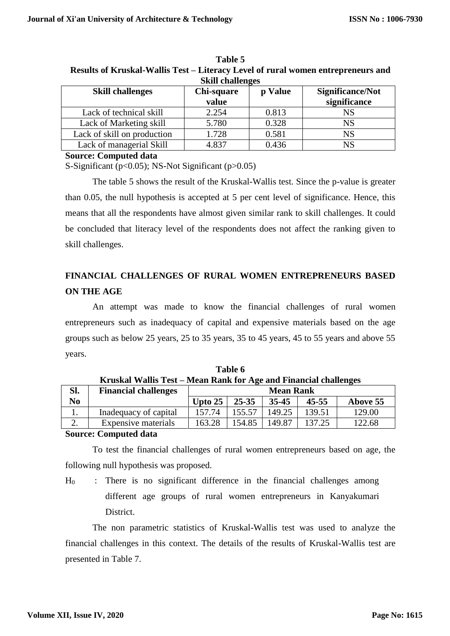| <b>Skill challenges</b>     |                     |         |                                  |  |  |  |
|-----------------------------|---------------------|---------|----------------------------------|--|--|--|
| <b>Skill challenges</b>     | Chi-square<br>value | p Value | Significance/Not<br>significance |  |  |  |
| Lack of technical skill     | 2.254               | 0.813   | NS                               |  |  |  |
| Lack of Marketing skill     | 5.780               | 0.328   | <b>NS</b>                        |  |  |  |
| Lack of skill on production | 1.728               | 0.581   | <b>NS</b>                        |  |  |  |
| Lack of managerial Skill    | 4.837               | 0.436   | <b>NS</b>                        |  |  |  |

**Table 5 Results of Kruskal-Wallis Test – Literacy Level of rural women entrepreneurs and** 

**Source: Computed data**

S-Significant (p<0.05); NS-Not Significant (p>0.05)

The table 5 shows the result of the Kruskal-Wallis test. Since the p-value is greater than 0.05, the null hypothesis is accepted at 5 per cent level of significance. Hence, this means that all the respondents have almost given similar rank to skill challenges. It could be concluded that literacy level of the respondents does not affect the ranking given to skill challenges.

## **FINANCIAL CHALLENGES OF RURAL WOMEN ENTREPRENEURS BASED ON THE AGE**

An attempt was made to know the financial challenges of rural women entrepreneurs such as inadequacy of capital and expensive materials based on the age groups such as below 25 years, 25 to 35 years, 35 to 45 years, 45 to 55 years and above 55 years.

|                | 111 GUINNI YY MILIU 1 CUV   | weeding to the and thumchat changing |                  |        |           |          |
|----------------|-----------------------------|--------------------------------------|------------------|--------|-----------|----------|
| Sl.            | <b>Financial challenges</b> |                                      | <b>Mean Rank</b> |        |           |          |
| N <sub>0</sub> |                             | Upto 25                              | $25 - 35$        | 35-45  | $45 - 55$ | Above 55 |
|                | Inadequacy of capital       | 157.74                               | 155.57           | 149.25 | 139.51    | 129.00   |
| ∠.             | Expensive materials         | 163.28                               | 154.85           | 149.87 | 137.25    | 122.68   |

**Table 6 Kruskal Wallis Test – Mean Rank for Age and Financial challenges**

### **Source: Computed data**

To test the financial challenges of rural women entrepreneurs based on age, the following null hypothesis was proposed.

The non parametric statistics of Kruskal-Wallis test was used to analyze the financial challenges in this context. The details of the results of Kruskal-Wallis test are presented in Table 7.

 $H_0$  : There is no significant difference in the financial challenges among different age groups of rural women entrepreneurs in Kanyakumari **District**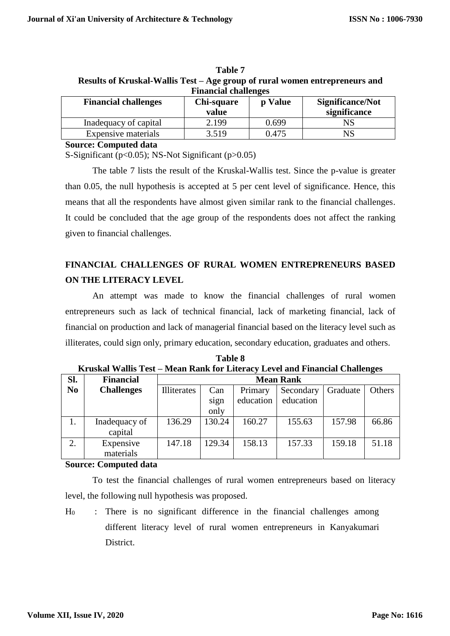| Results of Kruskal-Wallis Test – Age group of rural women entrepreneurs and |            |         |                  |  |  |
|-----------------------------------------------------------------------------|------------|---------|------------------|--|--|
| <b>Financial challenges</b>                                                 |            |         |                  |  |  |
| <b>Financial challenges</b>                                                 | Chi-square | p Value | Significance/Not |  |  |
|                                                                             | value      |         | significance     |  |  |

Inadequacy of capital 2.199 0.699 NS Expensive materials  $\begin{array}{|c|c|c|c|c|} \hline 3.519 & 0.475 & \text{NS} \ \hline \end{array}$ 

| Table 7                                                                     |
|-----------------------------------------------------------------------------|
| Results of Kruskal-Wallis Test – Age group of rural women entrepreneurs and |
| <b>Financial challenges</b>                                                 |

#### **Source: Computed data**

S-Significant (p<0.05); NS-Not Significant (p>0.05)

The table 7 lists the result of the Kruskal-Wallis test. Since the p-value is greater than 0.05, the null hypothesis is accepted at 5 per cent level of significance. Hence, this means that all the respondents have almost given similar rank to the financial challenges. It could be concluded that the age group of the respondents does not affect the ranking given to financial challenges.

## **FINANCIAL CHALLENGES OF RURAL WOMEN ENTREPRENEURS BASED ON THE LITERACY LEVEL**

An attempt was made to know the financial challenges of rural women entrepreneurs such as lack of technical financial, lack of marketing financial, lack of financial on production and lack of managerial financial based on the literacy level such as illiterates, could sign only, primary education, secondary education, graduates and others.

| SI.            | <b>Financial</b>  | <b>Mean Rank</b> |        |           |                       |        |        |
|----------------|-------------------|------------------|--------|-----------|-----------------------|--------|--------|
| N <sub>0</sub> | <b>Challenges</b> | Illiterates      | Can    | Primary   | Graduate<br>Secondary |        | Others |
|                |                   |                  | sign   | education | education             |        |        |
|                |                   |                  | only   |           |                       |        |        |
|                | Inadequacy of     | 136.29           | 130.24 | 160.27    | 155.63                | 157.98 | 66.86  |
|                | capital           |                  |        |           |                       |        |        |
| 2.             | Expensive         | 147.18           | 129.34 | 158.13    | 157.33                | 159.18 | 51.18  |
|                | materials         |                  |        |           |                       |        |        |
|                |                   |                  |        |           |                       |        |        |

**Table 8 Kruskal Wallis Test – Mean Rank for Literacy Level and Financial Challenges** 

#### **Source: Computed data**

To test the financial challenges of rural women entrepreneurs based on literacy level, the following null hypothesis was proposed.

 $H_0$  : There is no significant difference in the financial challenges among different literacy level of rural women entrepreneurs in Kanyakumari **District**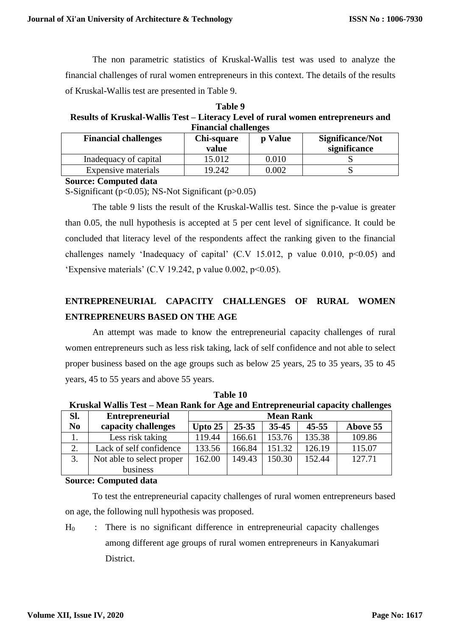The non parametric statistics of Kruskal-Wallis test was used to analyze the financial challenges of rural women entrepreneurs in this context. The details of the results of Kruskal-Wallis test are presented in Table 9.

**Table 9 Results of Kruskal-Wallis Test – Literacy Level of rural women entrepreneurs and Financial challenges** 

| <b>Financial challenges</b> | Chi-square<br>value | p Value   | Significance/Not<br>significance |
|-----------------------------|---------------------|-----------|----------------------------------|
| Inadequacy of capital       | 15.012              | 0.010     |                                  |
| Expensive materials         | 19.242              | $0.002\,$ |                                  |

**Source: Computed data**

S-Significant ( $p<0.05$ ); NS-Not Significant ( $p>0.05$ )

The table 9 lists the result of the Kruskal-Wallis test. Since the p-value is greater than 0.05, the null hypothesis is accepted at 5 per cent level of significance. It could be concluded that literacy level of the respondents affect the ranking given to the financial challenges namely 'Inadequacy of capital'  $(C.V 15.012$ , p value 0.010,  $p<0.05$ ) and 'Expensive materials' (C.V 19.242, p value 0.002,  $p \le 0.05$ ).

# **ENTREPRENEURIAL CAPACITY CHALLENGES OF RURAL WOMEN ENTREPRENEURS BASED ON THE AGE**

An attempt was made to know the entrepreneurial capacity challenges of rural women entrepreneurs such as less risk taking, lack of self confidence and not able to select proper business based on the age groups such as below 25 years, 25 to 35 years, 35 to 45 years, 45 to 55 years and above 55 years.

| Kruskal Wallis Test – Mean Rank for Age and Entrepreneurial capacity challenges |                           |                  |           |           |           |          |
|---------------------------------------------------------------------------------|---------------------------|------------------|-----------|-----------|-----------|----------|
| SI.                                                                             | <b>Entrepreneurial</b>    | <b>Mean Rank</b> |           |           |           |          |
| N <sub>0</sub>                                                                  | capacity challenges       | Upto $25$        | $25 - 35$ | $35 - 45$ | $45 - 55$ | Above 55 |
|                                                                                 | Less risk taking          | 119.44           | 166.61    | 153.76    | 135.38    | 109.86   |
| 2.                                                                              | Lack of self confidence   | 133.56           | 166.84    | 151.32    | 126.19    | 115.07   |
| 3.                                                                              | Not able to select proper | 162.00           | 149.43    | 150.30    | 152.44    | 127.71   |
|                                                                                 | business                  |                  |           |           |           |          |

**Table 10 Kruskal Wallis Test – Mean Rank for Age and Entrepreneurial capacity challenges**

**Source: Computed data**

To test the entrepreneurial capacity challenges of rural women entrepreneurs based on age, the following null hypothesis was proposed.

 $H<sub>0</sub>$  : There is no significant difference in entrepreneurial capacity challenges among different age groups of rural women entrepreneurs in Kanyakumari District.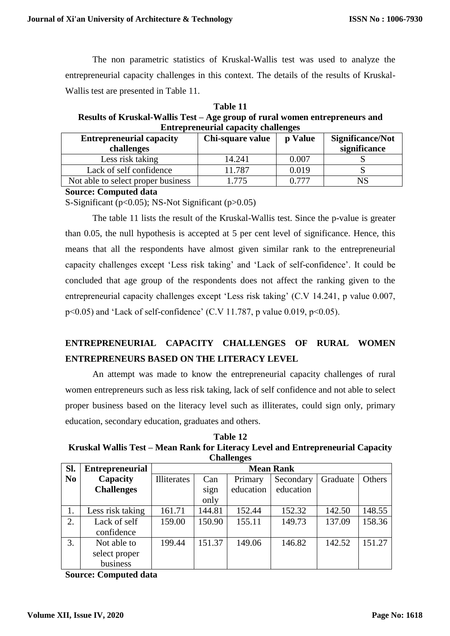The non parametric statistics of Kruskal-Wallis test was used to analyze the entrepreneurial capacity challenges in this context. The details of the results of Kruskal-Wallis test are presented in Table 11.

**Table 11 Results of Kruskal-Wallis Test – Age group of rural women entrepreneurs and Entrepreneurial capacity challenges** 

| <b>Entrepreneurial capacity</b><br>challenges | Chi-square value | p Value | Significance/Not<br>significance |
|-----------------------------------------------|------------------|---------|----------------------------------|
| Less risk taking                              | 14.241           | 0.007   |                                  |
| Lack of self confidence                       | 11.787           | 0.019   |                                  |
| Not able to select proper business            | 775              | 0.777   | $_{\rm NS}$                      |

**Source: Computed data**

S-Significant ( $p<0.05$ ); NS-Not Significant ( $p>0.05$ )

The table 11 lists the result of the Kruskal-Wallis test. Since the p-value is greater than 0.05, the null hypothesis is accepted at 5 per cent level of significance. Hence, this means that all the respondents have almost given similar rank to the entrepreneurial capacity challenges except 'Less risk taking' and 'Lack of self-confidence'. It could be concluded that age group of the respondents does not affect the ranking given to the entrepreneurial capacity challenges except 'Less risk taking' (C.V 14.241, p value 0.007,  $p<0.05$ ) and 'Lack of self-confidence' (C.V 11.787, p value 0.019,  $p<0.05$ ).

# **ENTREPRENEURIAL CAPACITY CHALLENGES OF RURAL WOMEN ENTREPRENEURS BASED ON THE LITERACY LEVEL**

An attempt was made to know the entrepreneurial capacity challenges of rural women entrepreneurs such as less risk taking, lack of self confidence and not able to select proper business based on the literacy level such as illiterates, could sign only, primary education, secondary education, graduates and others.

**Table 12 Kruskal Wallis Test – Mean Rank for Literacy Level and Entrepreneurial Capacity Challenges** 

| Sl.            | <b>Entrepreneurial</b> | <b>Mean Rank</b>   |        |           |           |          |        |
|----------------|------------------------|--------------------|--------|-----------|-----------|----------|--------|
| N <sub>0</sub> | Capacity               | <b>Illiterates</b> | Can    | Primary   | Secondary | Graduate | Others |
|                | <b>Challenges</b>      |                    | sign   | education | education |          |        |
|                |                        |                    | only   |           |           |          |        |
|                | Less risk taking       | 161.71             | 144.81 | 152.44    | 152.32    | 142.50   | 148.55 |
| 2.             | Lack of self           | 159.00             | 150.90 | 155.11    | 149.73    | 137.09   | 158.36 |
|                | confidence             |                    |        |           |           |          |        |
| 3.             | Not able to            | 199.44             | 151.37 | 149.06    | 146.82    | 142.52   | 151.27 |
|                | select proper          |                    |        |           |           |          |        |
|                | business               |                    |        |           |           |          |        |

**Source: Computed data**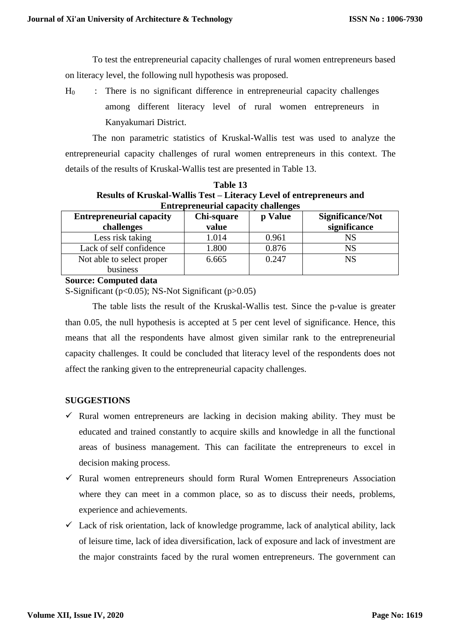To test the entrepreneurial capacity challenges of rural women entrepreneurs based on literacy level, the following null hypothesis was proposed.

 $H<sub>0</sub>$  : There is no significant difference in entrepreneurial capacity challenges among different literacy level of rural women entrepreneurs in Kanyakumari District.

The non parametric statistics of Kruskal-Wallis test was used to analyze the entrepreneurial capacity challenges of rural women entrepreneurs in this context. The details of the results of Kruskal-Wallis test are presented in Table 13.

|                                                                      | таше 15      |         |                |  |
|----------------------------------------------------------------------|--------------|---------|----------------|--|
| Results of Kruskal-Wallis Test – Literacy Level of entrepreneurs and |              |         |                |  |
| <b>Entrepreneurial capacity challenges</b>                           |              |         |                |  |
| tranranaurial canacity.                                              | - Chi-sauare | n Volua | Significance/N |  |

**Table 13**

| <b>Entrepreneurial capacity</b> | Chi-square | p Value | <b>Significance/Not</b> |
|---------------------------------|------------|---------|-------------------------|
| challenges                      | value      |         | significance            |
| Less risk taking                | 1.014      | 0.961   | NS                      |
| Lack of self confidence         | 1.800      | 0.876   | NS                      |
| Not able to select proper       | 6.665      | 0.247   | NS                      |
| business                        |            |         |                         |

#### **Source: Computed data**

S-Significant (p<0.05); NS-Not Significant (p>0.05)

The table lists the result of the Kruskal-Wallis test. Since the p-value is greater than 0.05, the null hypothesis is accepted at 5 per cent level of significance. Hence, this means that all the respondents have almost given similar rank to the entrepreneurial capacity challenges. It could be concluded that literacy level of the respondents does not affect the ranking given to the entrepreneurial capacity challenges.

## **SUGGESTIONS**

- $\checkmark$  Rural women entrepreneurs are lacking in decision making ability. They must be educated and trained constantly to acquire skills and knowledge in all the functional areas of business management. This can facilitate the entrepreneurs to excel in decision making process.
- $\checkmark$  Rural women entrepreneurs should form Rural Women Entrepreneurs Association where they can meet in a common place, so as to discuss their needs, problems, experience and achievements.
- $\checkmark$  Lack of risk orientation, lack of knowledge programme, lack of analytical ability, lack of leisure time, lack of idea diversification, lack of exposure and lack of investment are the major constraints faced by the rural women entrepreneurs. The government can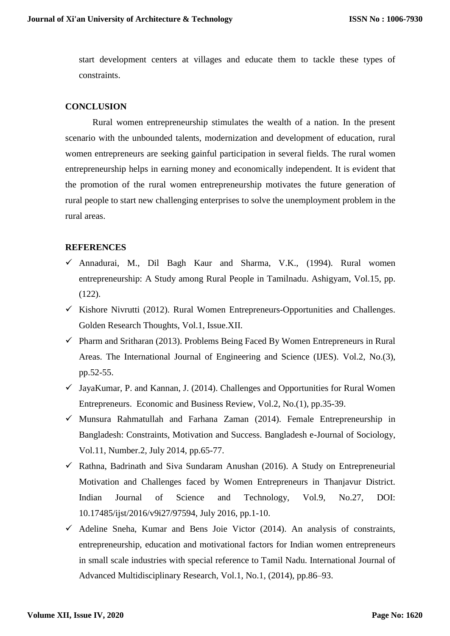start development centers at villages and educate them to tackle these types of constraints.

### **CONCLUSION**

Rural women entrepreneurship stimulates the wealth of a nation. In the present scenario with the unbounded talents, modernization and development of education, rural women entrepreneurs are seeking gainful participation in several fields. The rural women entrepreneurship helps in earning money and economically independent. It is evident that the promotion of the rural women entrepreneurship motivates the future generation of rural people to start new challenging enterprises to solve the unemployment problem in the rural areas.

#### **REFERENCES**

- $\checkmark$  Annadurai, M., Dil Bagh Kaur and Sharma, V.K., (1994). Rural women entrepreneurship: A Study among Rural People in Tamilnadu. Ashigyam, Vol.15, pp. (122).
- $\checkmark$  Kishore Nivrutti (2012). Rural Women Entrepreneurs-Opportunities and Challenges. Golden Research Thoughts, Vol.1, Issue.XII.
- $\checkmark$  Pharm and Sritharan (2013). Problems Being Faced By Women Entrepreneurs in Rural Areas. The International Journal of Engineering and Science (IJES). Vol.2, No.(3), pp.52-55.
- $\checkmark$  JayaKumar, P. and Kannan, J. (2014). Challenges and Opportunities for Rural Women Entrepreneurs. Economic and Business Review, Vol.2, No.(1), pp.35-39.
- $\checkmark$  Munsura Rahmatullah and Farhana Zaman (2014). Female Entrepreneurship in Bangladesh: Constraints, Motivation and Success. Bangladesh e-Journal of Sociology, Vol.11, Number.2, July 2014, pp.65-77.
- $\checkmark$  Rathna, Badrinath and Siva Sundaram Anushan (2016). A Study on Entrepreneurial Motivation and Challenges faced by Women Entrepreneurs in Thanjavur District. Indian Journal of Science and Technology, Vol.9, No.27, DOI: 10.17485/ijst/2016/v9i27/97594, July 2016, pp.1-10.
- $\checkmark$  Adeline Sneha, Kumar and Bens Joie Victor (2014). An analysis of constraints, entrepreneurship, education and motivational factors for Indian women entrepreneurs in small scale industries with special reference to Tamil Nadu. International Journal of Advanced Multidisciplinary Research, Vol.1, No.1, (2014), pp.86–93.